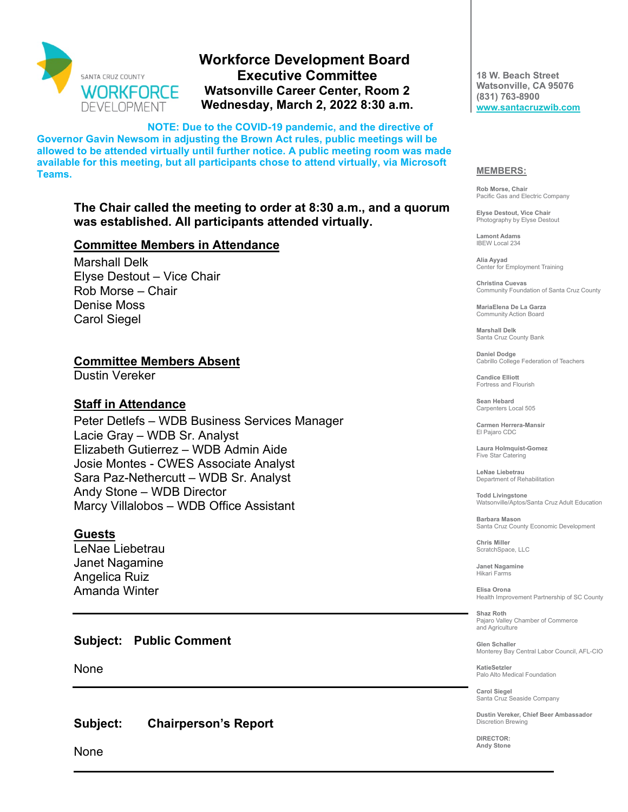

# **Workforce Development Board Executive Committee Watsonville Career Center, Room 2 Wednesday, March 2, 2022 8:30 a.m.**

**NOTE: Due to the COVID-19 pandemic, and the directive of Governor Gavin Newsom in adjusting the Brown Act rules, public meetings will be allowed to be attended virtually until further notice. A public meeting room was made available for this meeting, but all participants chose to attend virtually, via Microsoft Teams.** 

## **The Chair called the meeting to order at 8:30 a.m., and a quorum was established. All participants attended virtually.**

#### **Committee Members in Attendance**

Marshall Delk Elyse Destout – Vice Chair Rob Morse – Chair Denise Moss Carol Siegel

#### **Committee Members Absent**

Dustin Vereker

### **Staff in Attendance**

Peter Detlefs – WDB Business Services Manager Lacie Gray – WDB Sr. Analyst Elizabeth Gutierrez – WDB Admin Aide Josie Montes - CWES Associate Analyst Sara Paz-Nethercutt – WDB Sr. Analyst Andy Stone – WDB Director Marcy Villalobos – WDB Office Assistant

## **Guests**

LeNae Liebetrau Janet Nagamine Angelica Ruiz Amanda Winter

**Subject: Public Comment**

None

**Subject: Chairperson's Report**

None

**18 W. Beach Street Watsonville, CA 95076 (831) 763-8900 [www.santacruzwib.com](http://www.santacruzwib.com/)**

#### **MEMBERS:**

**Rob Morse, Chair** Pacific Gas and Electric Company

**Elyse Destout, Vice Chair** Photography by Elyse Destout

**Lamont Adams** IBEW Local 234

**Alia Ayyad** Center for Employment Training

**Christina Cuevas** Community Foundation of Santa Cruz County

**MariaElena De La Garza** Community Action Board

**Marshall Delk** Santa Cruz County Bank

**Daniel Dodge** Cabrillo College Federation of Teachers

**Candice Elliott** Fortress and Flourish

**Sean Hebard** Carpenters Local 505

**Carmen Herrera-Mansir** El Pajaro CDC

**Laura Holmquist-Gomez** Five Star Catering

**LeNae Liebetrau** Department of Rehabilitation

**Todd Livingstone** Watsonville/Aptos/Santa Cruz Adult Education

**Barbara Mason** Santa Cruz County Economic Development

**Chris Miller** ScratchSpace, LLC

**Janet Nagamine** Hikari Farms

**Elisa Orona** Health Improvement Partnership of SC County

**Shaz Roth** Pajaro Valley Chamber of Commerce and Agriculture

**Glen Schaller** Monterey Bay Central Labor Council, AFL-CIO

**KatieSetzler** Palo Alto Medical Foundation

**Carol Siegel** Santa Cruz Seaside Company

**Dustin Vereker, Chief Beer Ambassador** Discretion Brewing

**DIRECTOR: Andy Stone**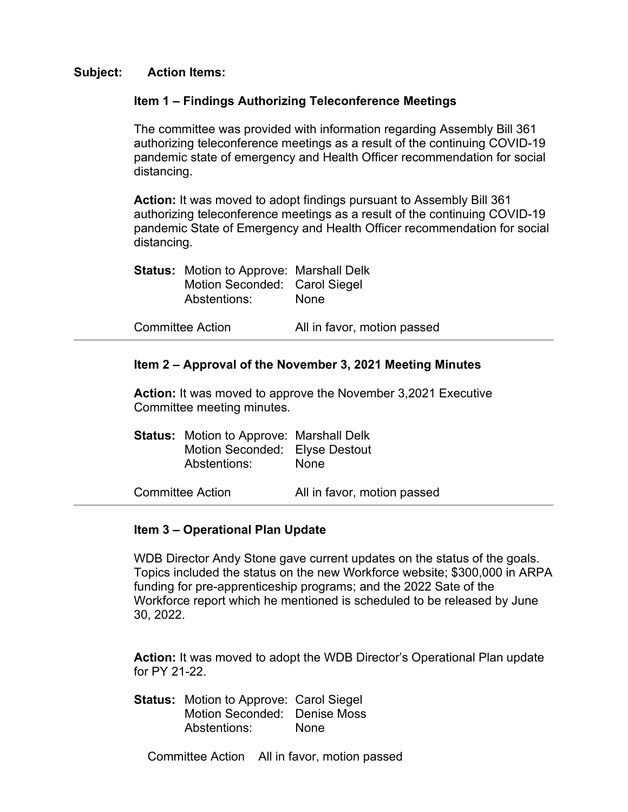#### **Subject: Action Items:**

#### **Item 1 – Findings Authorizing Teleconference Meetings**

The committee was provided with information regarding Assembly Bill 361 authorizing teleconference meetings as a result of the continuing COVID-19 pandemic state of emergency and Health Officer recommendation for social distancing.

**Action:** It was moved to adopt findings pursuant to Assembly Bill 361 authorizing teleconference meetings as a result of the continuing COVID-19 pandemic State of Emergency and Health Officer recommendation for social distancing.

| <b>Status:</b> Motion to Approve: Marshall Delk<br>Motion Seconded: Carol Siegel<br>Abstentions: | None                        |
|--------------------------------------------------------------------------------------------------|-----------------------------|
| <b>Committee Action</b>                                                                          | All in favor, motion passed |

#### **Item 2 – Approval of the November 3, 2021 Meeting Minutes**

**Action:** It was moved to approve the November 3,2021 Executive Committee meeting minutes.

| <b>Status:</b> Motion to Approve: Marshall Delk<br>Motion Seconded: Elyse Destout<br>Abstentions: | None                        |
|---------------------------------------------------------------------------------------------------|-----------------------------|
| <b>Committee Action</b>                                                                           | All in favor, motion passed |

## **Item 3 – Operational Plan Update**

WDB Director Andy Stone gave current updates on the status of the goals. Topics included the status on the new Workforce website; \$300,000 in ARPA funding for pre-apprenticeship programs; and the 2022 Sate of the Workforce report which he mentioned is scheduled to be released by June 30, 2022.

**Action:** It was moved to adopt the WDB Director's Operational Plan update for PY 21-22.

**Status:** Motion to Approve: Carol Siegel Motion Seconded: Denise Moss Abstentions: None

Committee Action All in favor, motion passed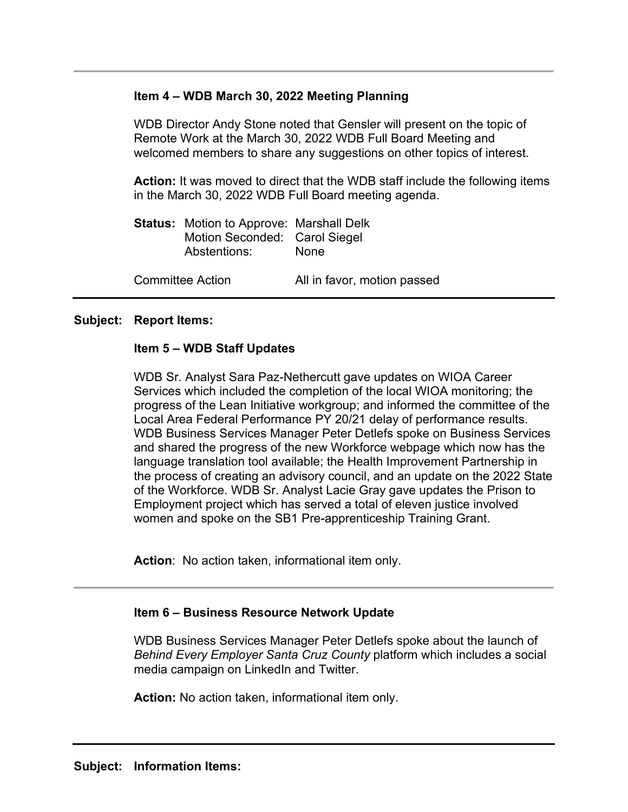## **Item 4 – WDB March 30, 2022 Meeting Planning**

WDB Director Andy Stone noted that Gensler will present on the topic of Remote Work at the March 30, 2022 WDB Full Board Meeting and welcomed members to share any suggestions on other topics of interest.

**Action:** It was moved to direct that the WDB staff include the following items in the March 30, 2022 WDB Full Board meeting agenda.

|                         | <b>Status:</b> Motion to Approve: Marshall Delk<br>Motion Seconded: Carol Siegel<br>Abstentions: | None                        |
|-------------------------|--------------------------------------------------------------------------------------------------|-----------------------------|
| <b>Committee Action</b> |                                                                                                  | All in favor, motion passed |

#### **Subject: Report Items:**

## **Item 5 – WDB Staff Updates**

WDB Sr. Analyst Sara Paz-Nethercutt gave updates on WIOA Career Services which included the completion of the local WIOA monitoring; the progress of the Lean Initiative workgroup; and informed the committee of the Local Area Federal Performance PY 20/21 delay of performance results. WDB Business Services Manager Peter Detlefs spoke on Business Services and shared the progress of the new Workforce webpage which now has the language translation tool available; the Health Improvement Partnership in the process of creating an advisory council, and an update on the 2022 State of the Workforce. WDB Sr. Analyst Lacie Gray gave updates the Prison to Employment project which has served a total of eleven justice involved women and spoke on the SB1 Pre-apprenticeship Training Grant.

**Action**: No action taken, informational item only.

## **Item 6 – Business Resource Network Update**

WDB Business Services Manager Peter Detlefs spoke about the launch of *Behind Every Employer Santa Cruz County* platform which includes a social media campaign on LinkedIn and Twitter.

**Action:** No action taken, informational item only.